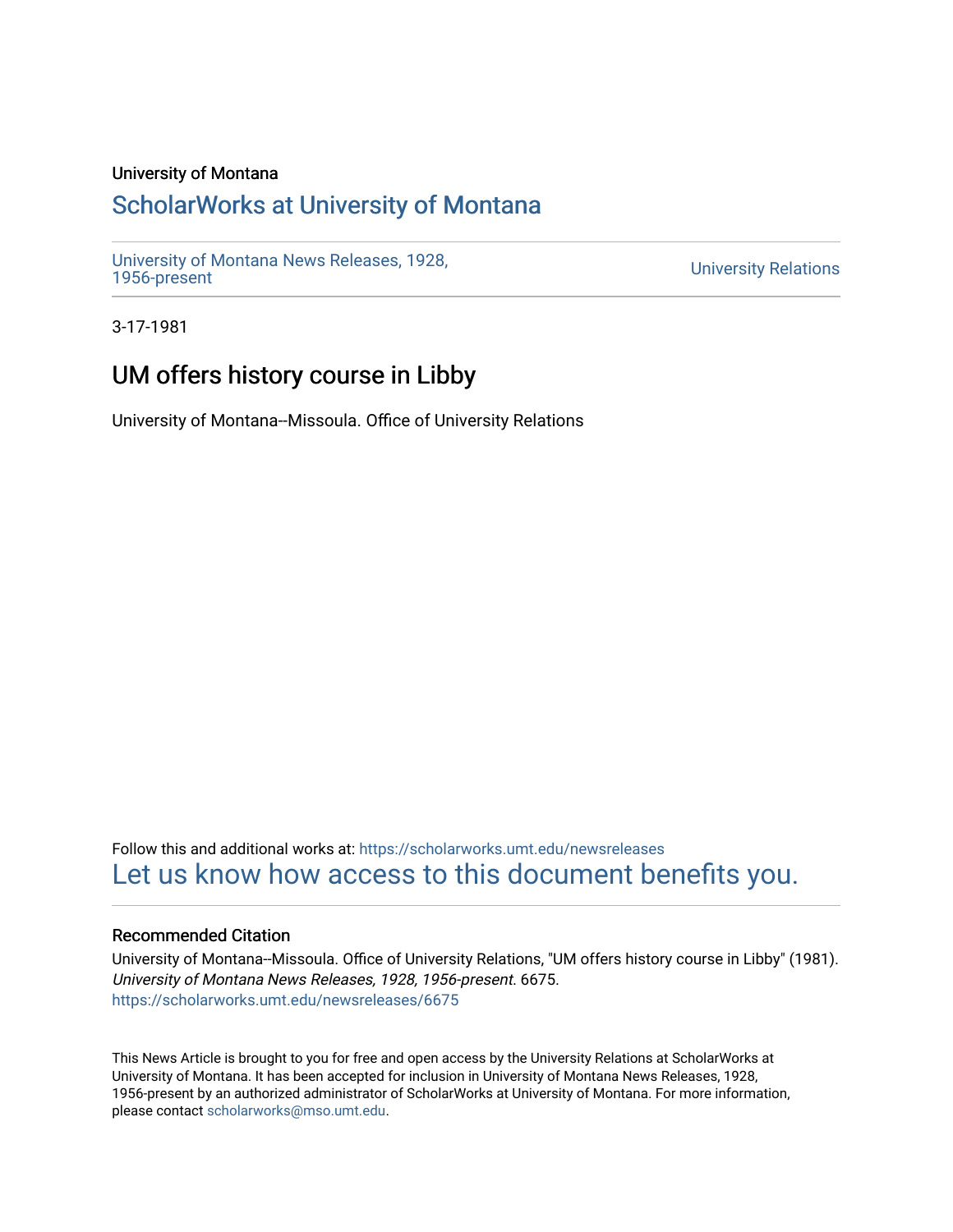### University of Montana

## [ScholarWorks at University of Montana](https://scholarworks.umt.edu/)

[University of Montana News Releases, 1928,](https://scholarworks.umt.edu/newsreleases) 

**University Relations** 

3-17-1981

# UM offers history course in Libby

University of Montana--Missoula. Office of University Relations

Follow this and additional works at: [https://scholarworks.umt.edu/newsreleases](https://scholarworks.umt.edu/newsreleases?utm_source=scholarworks.umt.edu%2Fnewsreleases%2F6675&utm_medium=PDF&utm_campaign=PDFCoverPages) [Let us know how access to this document benefits you.](https://goo.gl/forms/s2rGfXOLzz71qgsB2) 

#### Recommended Citation

University of Montana--Missoula. Office of University Relations, "UM offers history course in Libby" (1981). University of Montana News Releases, 1928, 1956-present. 6675. [https://scholarworks.umt.edu/newsreleases/6675](https://scholarworks.umt.edu/newsreleases/6675?utm_source=scholarworks.umt.edu%2Fnewsreleases%2F6675&utm_medium=PDF&utm_campaign=PDFCoverPages) 

This News Article is brought to you for free and open access by the University Relations at ScholarWorks at University of Montana. It has been accepted for inclusion in University of Montana News Releases, 1928, 1956-present by an authorized administrator of ScholarWorks at University of Montana. For more information, please contact [scholarworks@mso.umt.edu.](mailto:scholarworks@mso.umt.edu)